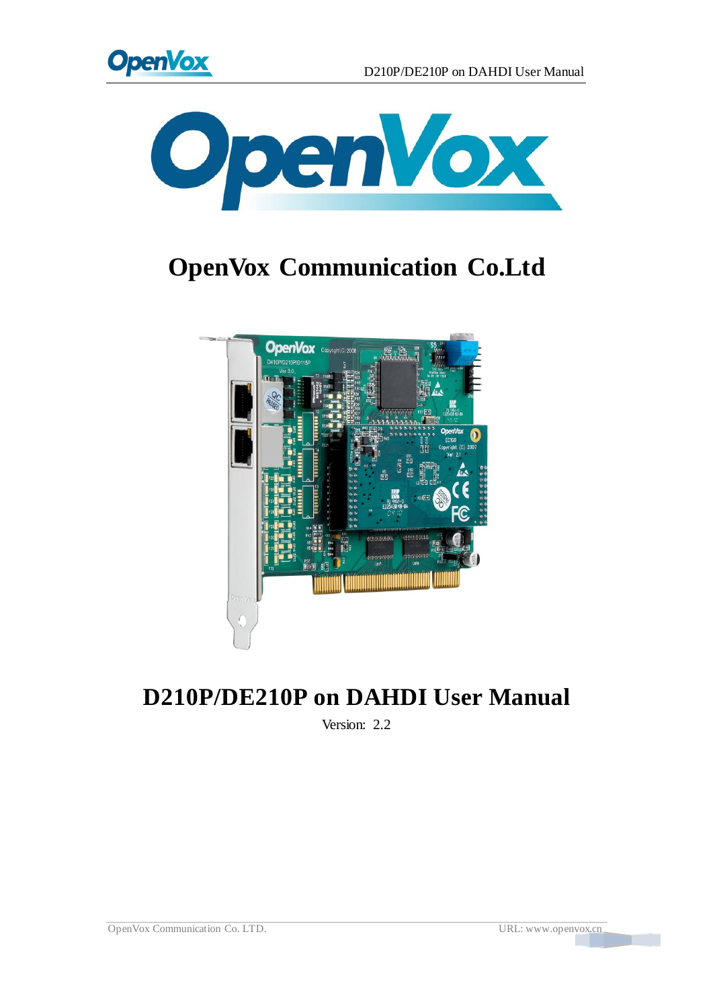



# **OpenVox Communication Co.Ltd**



# **D210P/DE210P on DAHDI User Manual**

Version: 2.2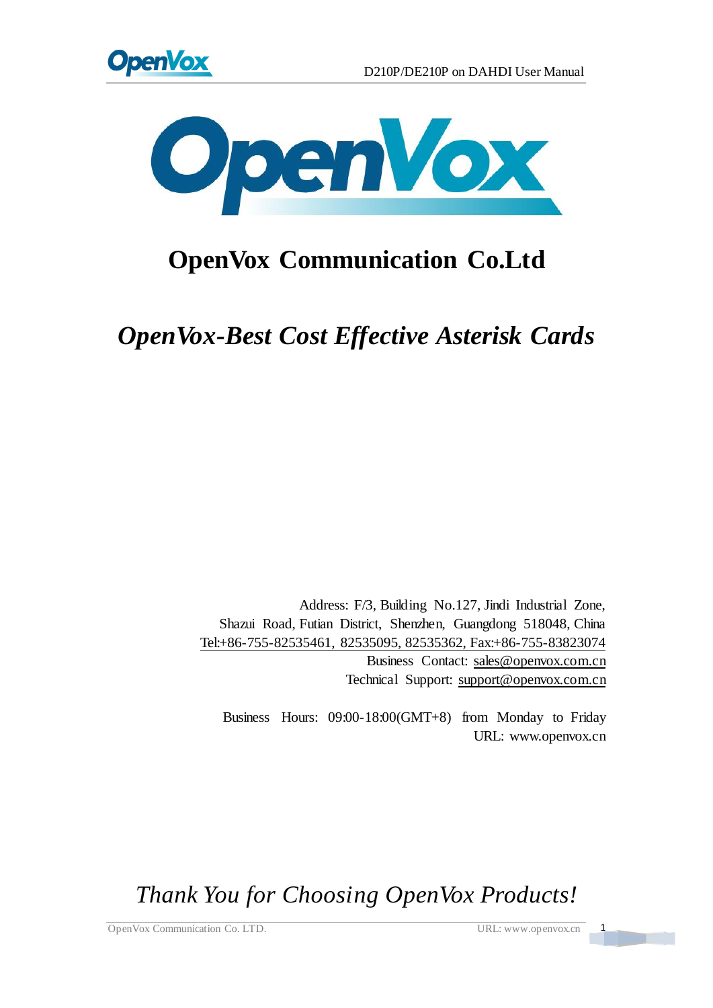



# **OpenVox Communication Co.Ltd**

*OpenVox-Best Cost Effective Asterisk Cards*

Address: F/3, Building No.127, Jindi Industrial Zone, Shazui Road, Futian District, Shenzhen, Guangdong 518048, China Tel:+86-755-82535461, 82535095, 82535362, Fax:+86-755-83823074 Business Contact: sales@openvox.com.cn Technical Support[: support@openvox.com.cn](mailto:support@openvox.com.cn)

Business Hours: 09:00-18:00(GMT+8) from Monday to Friday URL: www.openvox.cn

*Thank You for Choosing OpenVox Products!*

OpenVox Communication Co. LTD. URL: www.openvox.cn 1

 $\frac{1}{\sqrt{2}}$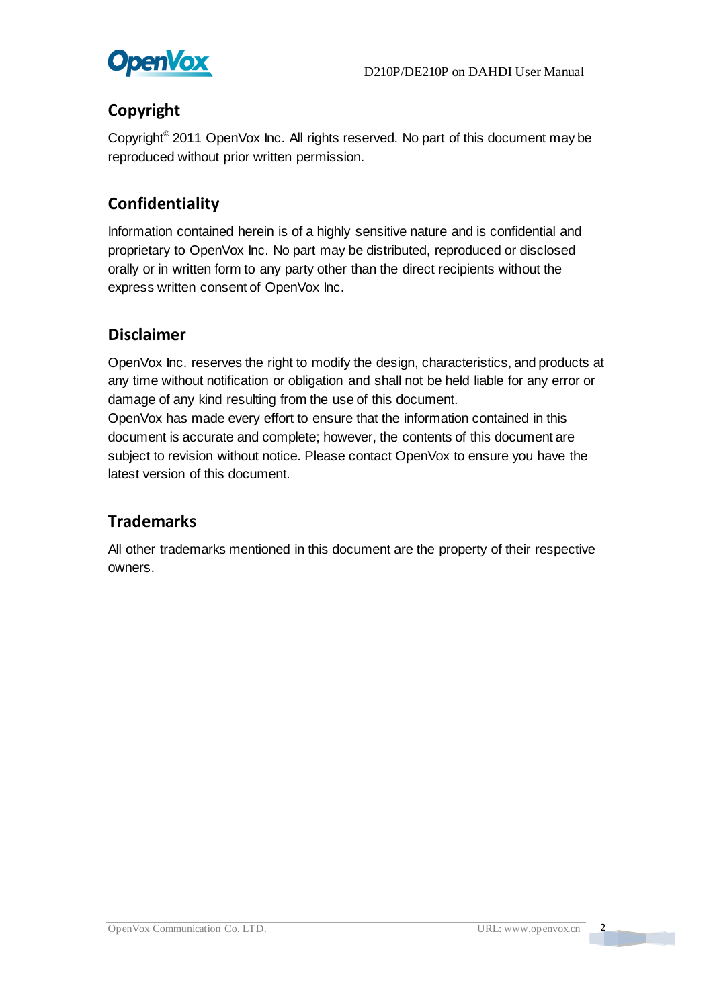

### **Copyright**

Copyright© 2011 OpenVox Inc. All rights reserved. No part of this document may be reproduced without prior written permission.

## **Confidentiality**

Information contained herein is of a highly sensitive nature and is confidential and proprietary to OpenVox Inc. No part may be distributed, reproduced or disclosed orally or in written form to any party other than the direct recipients without the express written consent of OpenVox Inc.

#### **Disclaimer**

OpenVox Inc. reserves the right to modify the design, characteristics, and products at any time without notification or obligation and shall not be held liable for any error or damage of any kind resulting from the use of this document.

OpenVox has made every effort to ensure that the information contained in this document is accurate and complete; however, the contents of this document are subject to revision without notice. Please contact OpenVox to ensure you have the latest version of this document.

#### **Trademarks**

All other trademarks mentioned in this document are the property of their respective owners.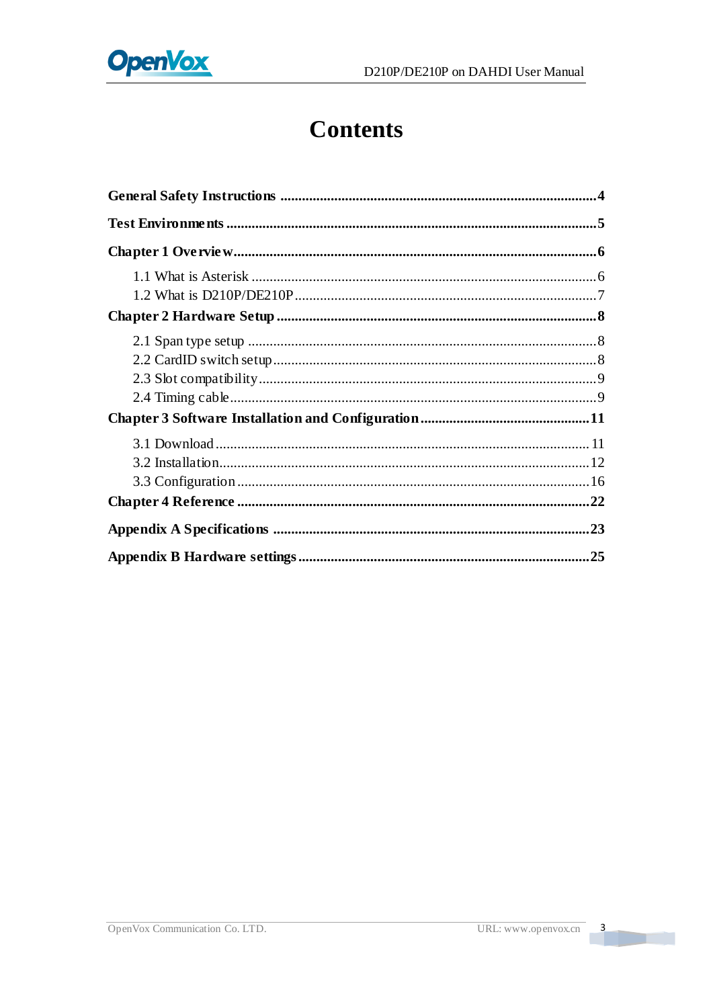

# **Contents**

 $\overline{\mathbf{3}}$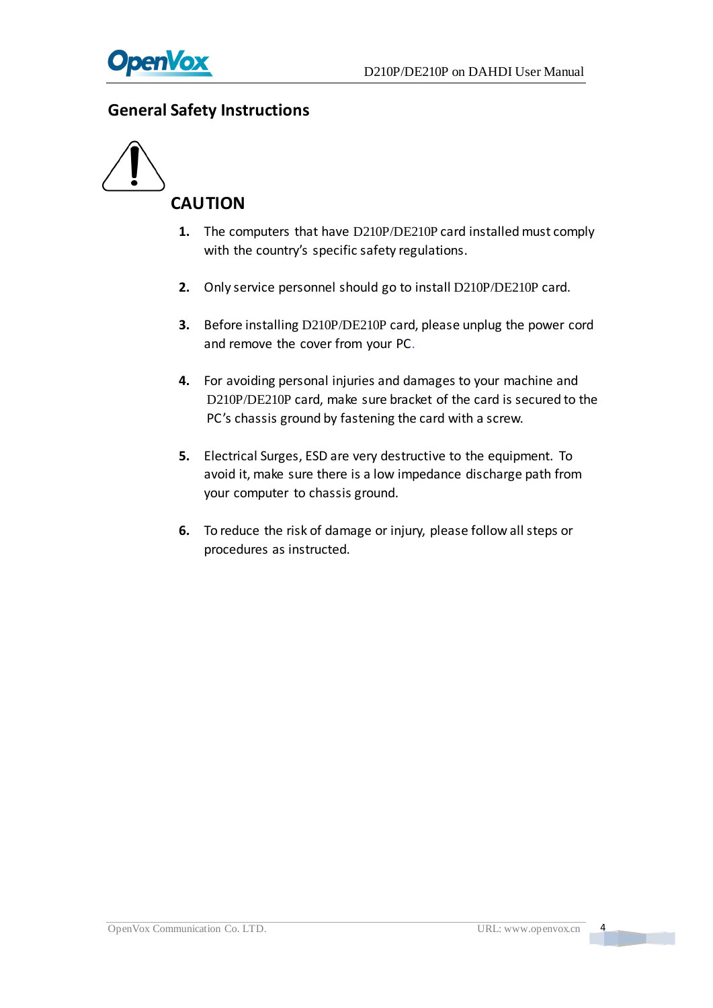

#### <span id="page-4-0"></span>**General Safety Instructions**



- **1.** The computers that have D210P/DE210P card installed must comply with the country's specific safety regulations.
- **2.** Only service personnel should go to install D210P/DE210P card.
- **3.** Before installing D210P/DE210P card, please unplug the power cord and remove the cover from your PC.
- **4.** For avoiding personal injuries and damages to your machine and D210P/DE210P card, make sure bracket of the card is secured to the PC's chassis ground by fastening the card with a screw.
- **5.** Electrical Surges, ESD are very destructive to the equipment. To avoid it, make sure there is a low impedance discharge path from your computer to chassis ground.
- **6.** To reduce the risk of damage or injury, please follow all steps or procedures as instructed.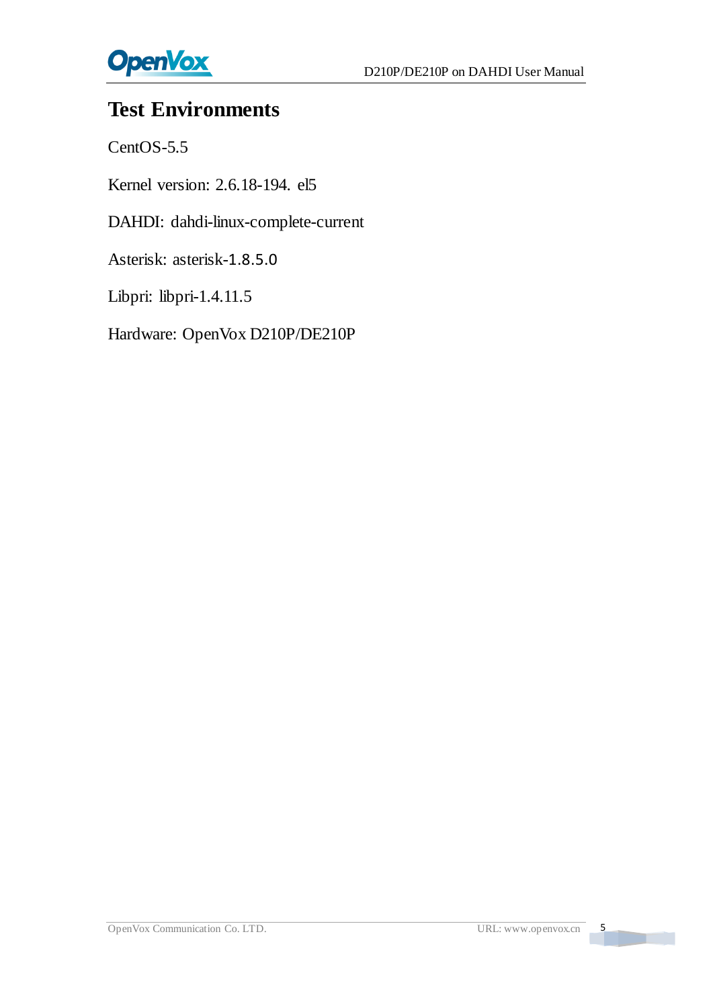

# <span id="page-5-0"></span>**Test Environments**

CentOS-5.5

Kernel version: 2.6.18-194. el5

DAHDI: dahdi-linux-complete-current

Asterisk: asterisk-1.8.5.0

Libpri: libpri-1.4.11.5

Hardware: OpenVox D210P/DE210P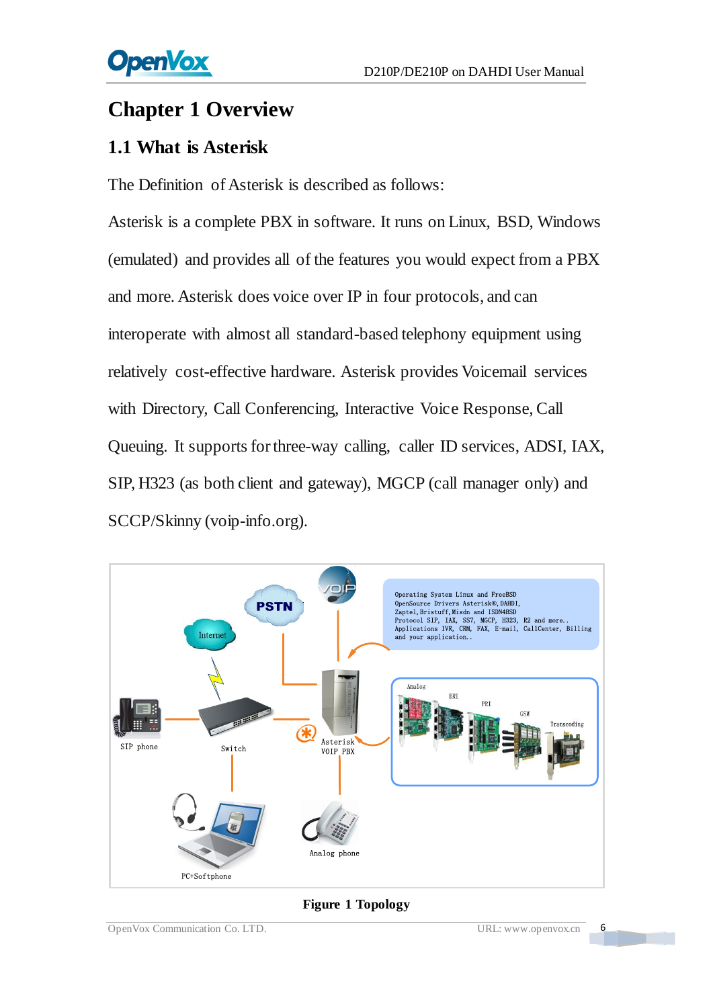# <span id="page-6-0"></span>**Chapter 1 Overview**

# <span id="page-6-1"></span>**1.1 What is Asterisk**

The Definition of Asterisk is described as follows:

Asterisk is a complete PBX in software. It runs on Linux, BSD, Windows (emulated) and provides all of the features you would expect from a PBX and more. Asterisk does voice over IP in four protocols, and can interoperate with almost all standard-based telephony equipment using relatively cost-effective hardware. Asterisk provides Voicemail services with Directory, Call Conferencing, Interactive Voice Response, Call Queuing. It supports for three-way calling, caller ID services, ADSI, IAX, SIP, H323 (as both client and gateway), MGCP (call manager only) and SCCP/Skinny (voip-info.org).



#### **Figure 1 Topology**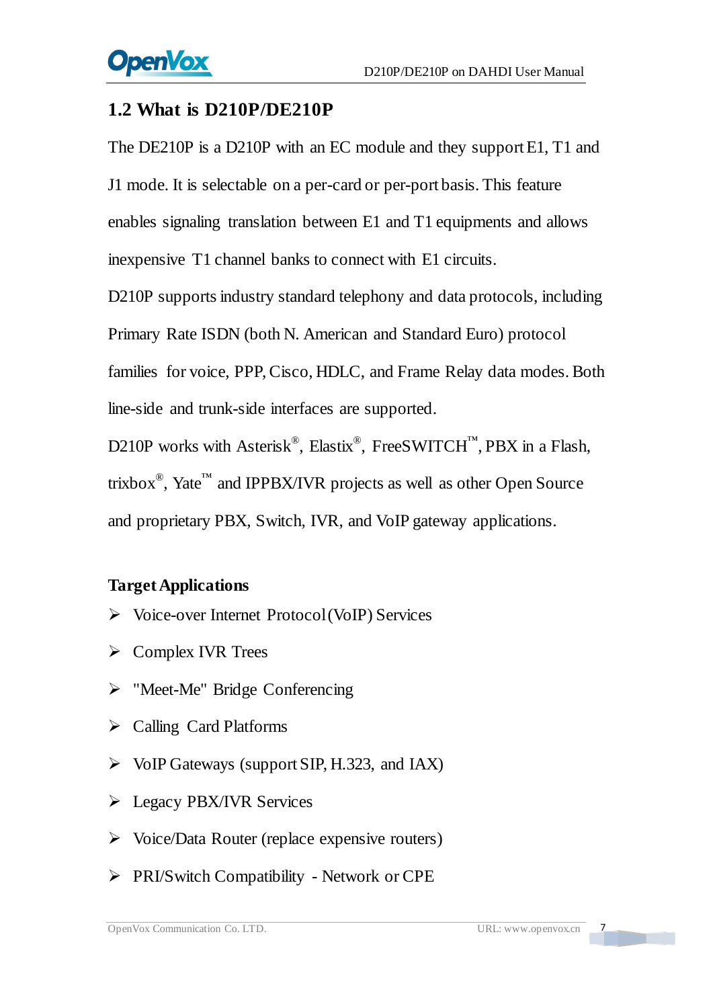## <span id="page-7-0"></span>**1.2 What is D210P/DE210P**

The DE210P is a D210P with an EC module and they support E1, T1 and J1 mode. It is selectable on a per-card or per-port basis. This feature enables signaling translation between E1 and T1 equipments and allows inexpensive T1 channel banks to connect with E1 circuits.

D210P supports industry standard telephony and data protocols, including Primary Rate ISDN (both N. American and Standard Euro) protocol families for voice, PPP, Cisco, HDLC, and Frame Relay data modes. Both line-side and trunk-side interfaces are supported.

D210P works with Asterisk<sup>®</sup>, Elastix<sup>®</sup>, FreeSWITCH<sup>™</sup>, PBX in a Flash, trixbox<sup>®</sup>, Yate<sup>™</sup> and IPPBX/IVR projects as well as other Open Source and proprietary PBX, Switch, IVR, and VoIP gateway applications.

### **Target Applications**

- $\triangleright$  Voice-over Internet Protocol (VoIP) Services
- $\triangleright$  Complex IVR Trees
- > "Meet-Me" Bridge Conferencing
- $\triangleright$  Calling Card Platforms
- $\triangleright$  VoIP Gateways (support SIP, H.323, and IAX)
- **Example 2** Legacy PBX/IVR Services
- $\triangleright$  Voice/Data Router (replace expensive routers)
- PRI/Switch Compatibility Network or CPE

 $\sqrt{2}$ 

a barat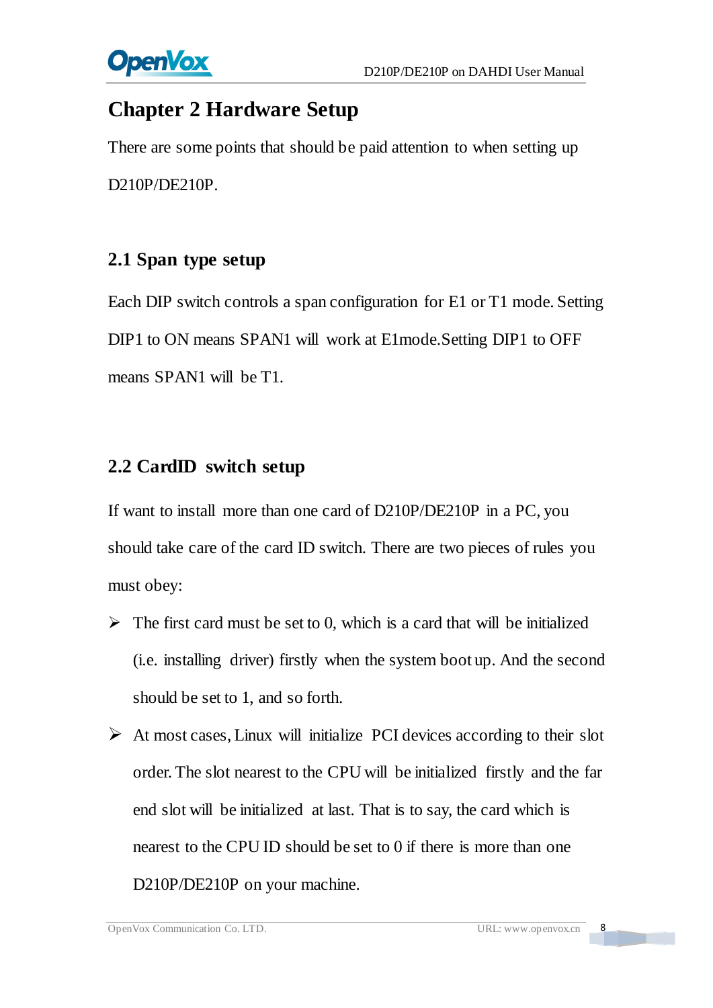

# <span id="page-8-0"></span>**Chapter 2 Hardware Setup**

There are some points that should be paid attention to when setting up D210P/DE210P.

## <span id="page-8-1"></span>**2.1 Span type setup**

Each DIP switch controls a span configuration for E1 or T1 mode. Setting DIP1 to ON means SPAN1 will work at E1mode.Setting DIP1 to OFF means SPAN1 will be T1.

## <span id="page-8-2"></span>**2.2 CardID switch setup**

If want to install more than one card of D210P/DE210P in a PC, you should take care of the card ID switch. There are two pieces of rules you must obey:

- $\triangleright$  The first card must be set to 0, which is a card that will be initialized (i.e. installing driver) firstly when the system boot up. And the second should be set to 1, and so forth.
- $\triangleright$  At most cases, Linux will initialize PCI devices according to their slot order. The slot nearest to the CPU will be initialized firstly and the far end slot will be initialized at last. That is to say, the card which is nearest to the CPU ID should be set to 0 if there is more than one D210P/DE210P on your machine.

 $\overline{\mathbf{8}}$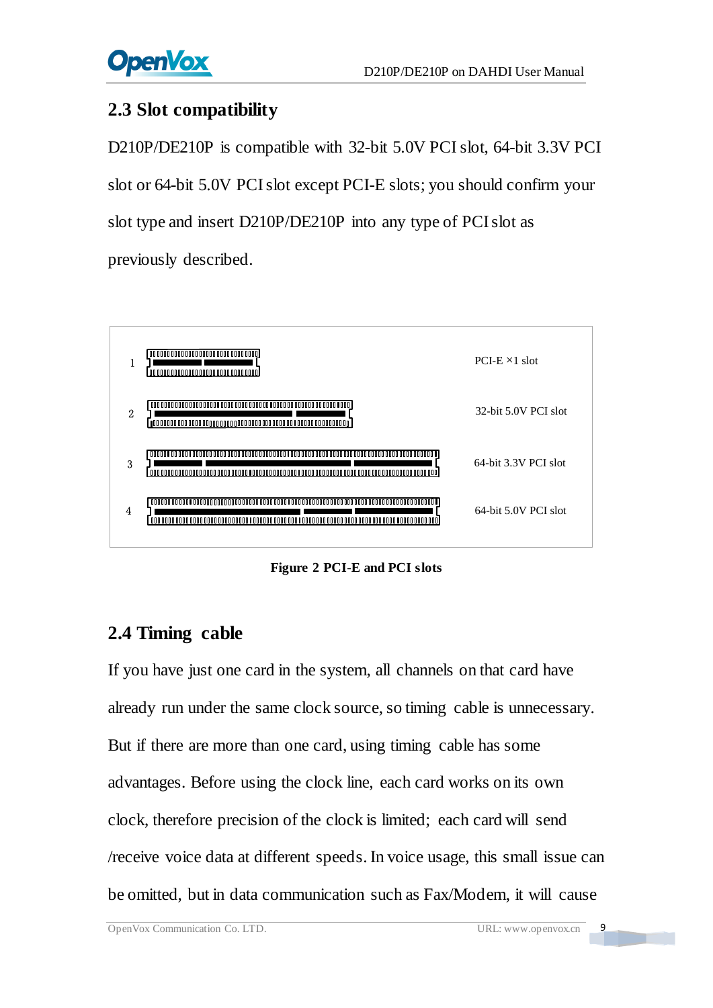## <span id="page-9-0"></span>**2.3 Slot compatibility**

D210P/DE210P is compatible with 32-bit 5.0V PCI slot, 64-bit 3.3V PCI slot or 64-bit 5.0V PCIslot except PCI-E slots; you should confirm your slot type and insert D210P/DE210P into any type of PCI slot as previously described.



**Figure 2 PCI-E and PCI slots**

# <span id="page-9-1"></span>**2.4 Timing cable**

If you have just one card in the system, all channels on that card have already run under the same clock source, so timing cable is unnecessary. But if there are more than one card, using timing cable has some advantages. Before using the clock line, each card works on its own clock, therefore precision of the clock is limited; each card will send /receive voice data at different speeds. In voice usage, this small issue can be omitted, but in data communication such as Fax/Modem, it will cause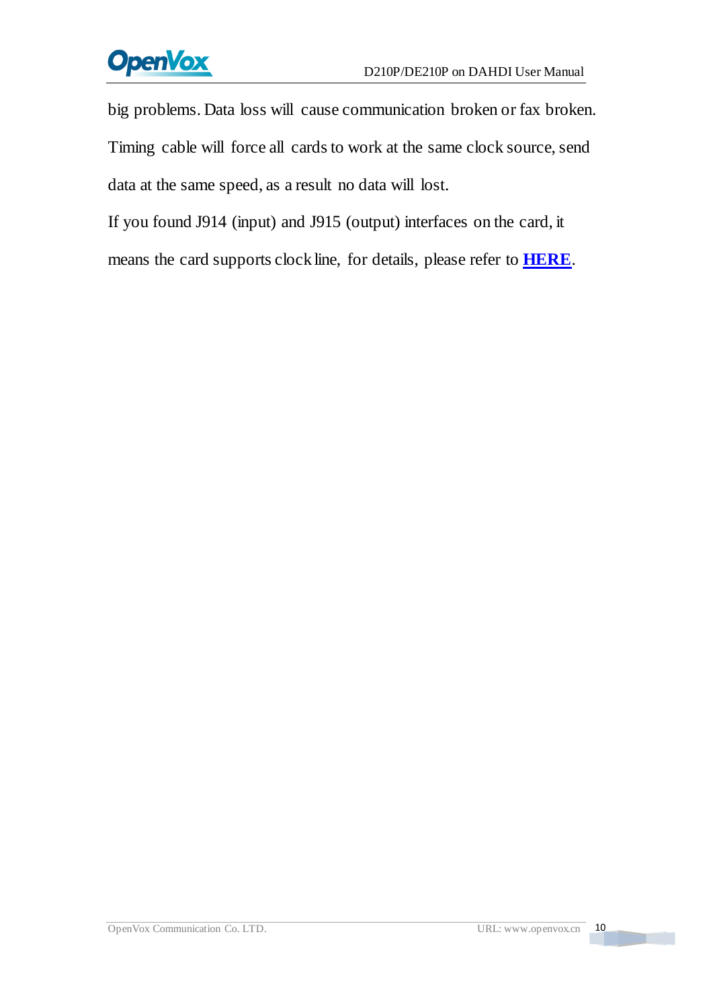# **OpenVox**

big problems. Data loss will cause communication broken or fax broken. Timing cable will force all cards to work at the same clock source, send data at the same speed, as a result no data will lost.

If you found J914 (input) and J915 (output) interfaces on the card, it means the card supports clock line, for details, please refer to **[HERE](http://bbs.openvox.cn/viewthread.php?tid=874&extra=page%3D1)**.

a ma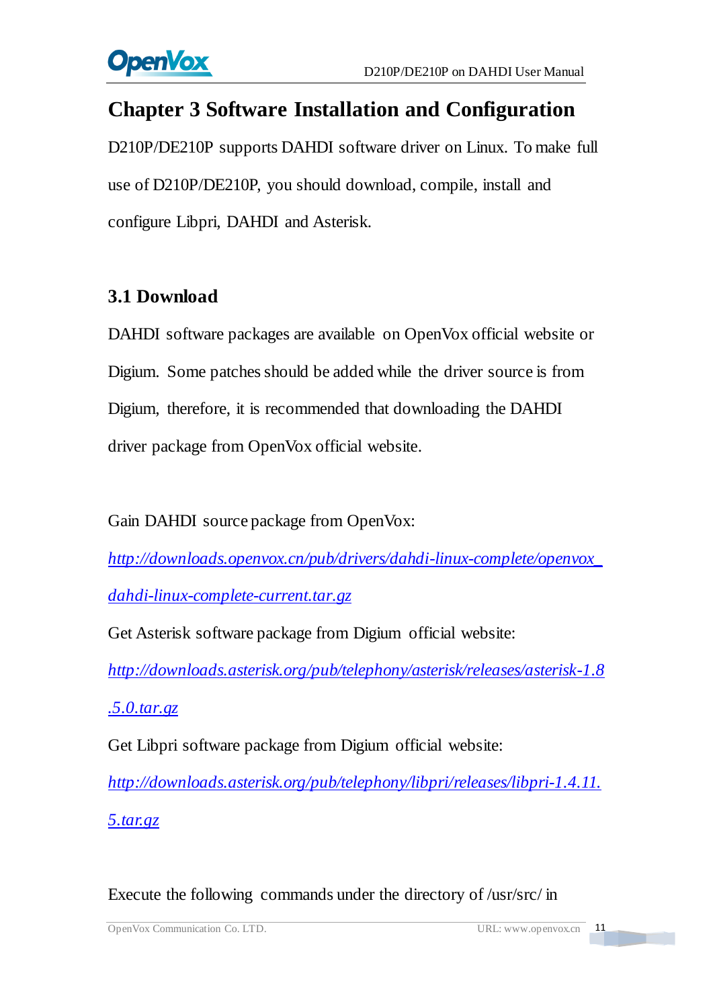

# <span id="page-11-0"></span>**Chapter 3 Software Installation and Configuration**

D210P/DE210P supports DAHDI software driver on Linux. To make full use of D210P/DE210P, you should download, compile, install and configure Libpri, DAHDI and Asterisk.

## <span id="page-11-1"></span>**3.1 Download**

DAHDI software packages are available on OpenVox official website or Digium. Some patches should be added while the driver source is from Digium, therefore, it is recommended that downloading the DAHDI driver package from OpenVox official website.

Gain DAHDI source package from OpenVox:

*[http://downloads.openvox.cn/pub/drivers/dahdi-linux-complete/openvox\\_](http://downloads.openvox.cn/pub/drivers/dahdi-linux-complete/openvox_dahdi-linux-complete-current.tar.gz) [dahdi-linux-complete-current.tar.gz](http://downloads.openvox.cn/pub/drivers/dahdi-linux-complete/openvox_dahdi-linux-complete-current.tar.gz)*

Get Asterisk software package from Digium official website:

*[http://downloads.asterisk.org/pub/telephony/asterisk/releases/asterisk-1.8](http://downloads.asterisk.org/pub/telephony/asterisk/releases/asterisk-1.8.5.0.tar.gz)*

*[.5.0.tar.gz](http://downloads.asterisk.org/pub/telephony/asterisk/releases/asterisk-1.8.5.0.tar.gz)*

Get Libpri software package from Digium official website:

*[http://downloads.asterisk.org/pub/telephony/libpri/releases/libpri-1.4.11.](http://downloads.asterisk.org/pub/telephony/libpri/releases/libpri-1.4.11.5.tar.gz) [5.tar.gz](http://downloads.asterisk.org/pub/telephony/libpri/releases/libpri-1.4.11.5.tar.gz)*

Execute the following commands under the directory of /usr/src/ in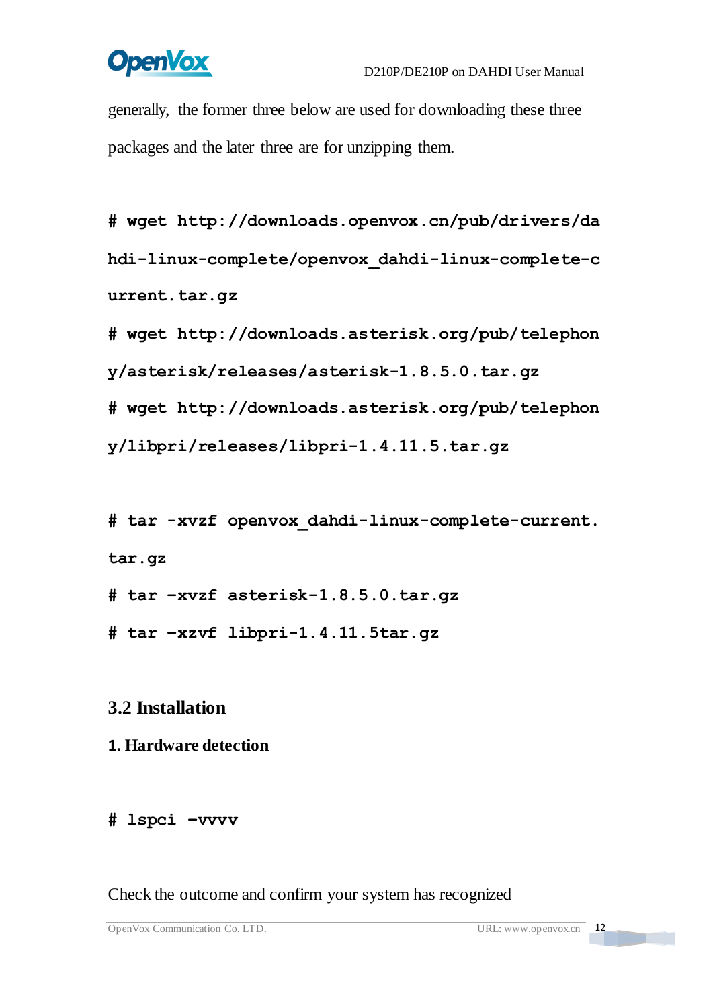# **OpenVox**

generally, the former three below are used for downloading these three packages and the later three are for unzipping them.

**#\_wget[\\_http://downloads.openvox.cn/pub/drivers/da](http://downloads.openvox.cn/pub/drivers/dahdi-linux-complete/openvox_dahdi-linux-complete-current.tar.gz) [hdi-linux-complete/openvox\\_dahdi-linux-complete-c](http://downloads.openvox.cn/pub/drivers/dahdi-linux-complete/openvox_dahdi-linux-complete-current.tar.gz) [urrent.tar.gz](http://downloads.openvox.cn/pub/drivers/dahdi-linux-complete/openvox_dahdi-linux-complete-current.tar.gz)**

**#\_wget[\\_http://downloads.asterisk.org/pub/telephon](http://downloads.asterisk.org/pub/telephony/asterisk/releases/) [y/asterisk/releases/a](http://downloads.asterisk.org/pub/telephony/asterisk/releases/)sterisk-1.8.5.0.tar.gz**

**#\_wget[\\_http://downloads.asterisk.org/pub/telephon](http://downloads.asterisk.org/pub/telephony/libpri/releases/libpri-1.4.11.5.tar.gz)**

**[y/libpri/releases/libpri-1.4.11.5.tar.gzt](http://downloads.asterisk.org/pub/telephony/libpri/releases/libpri-1.4.11.5.tar.gz)ibpri-1.**

**#\_tar\_-xvzf\_openvox\_dahdi-linux-complete-current. tar.gz**

**# tar –xvzf asterisk-1.8.5.0.tar.gz**

**# tar –xzvf libpri-1.4.11.5tar.gz**

## <span id="page-12-0"></span>**3.2 Installation**

#### **1. Hardware detection**

#### **# lspci –vvvv**

Check the outcome and confirm your system has recognized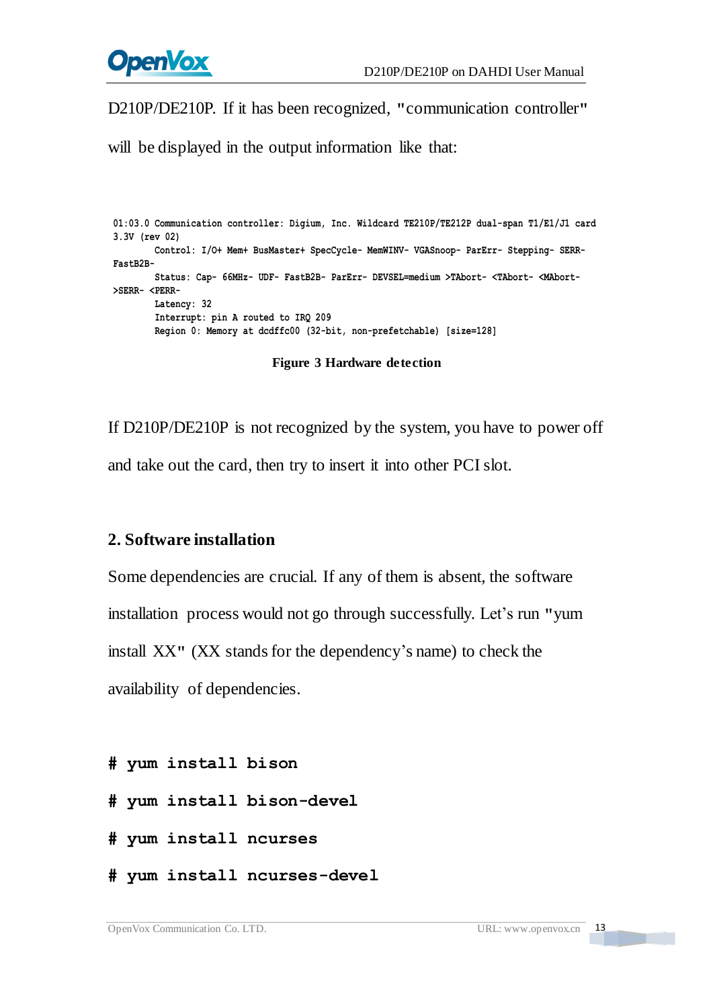

D210P/DE210P. If it has been recognized, **"**communication controller**"**

will be displayed in the output information like that:

```
01:03.0 Communication controller: Digium, Inc. Wildcard TE210P/TE212P dual-span T1/E1/J1 card 3.3V (rev 02) Control: I/O+ Mem+ BusMaster+ SpecCycle- MemWINV- VGASnoop- ParErr- Stepping- SERR- FastB2B-
        Status: Cap- 66MHz- UDF- FastB2B- ParErr- DEVSEL=medium >TAbort- <TAbort- <MAbort- >SERR- <PERR- Latency: 32 Interrupt: pin A routed to IRQ 209 Region 0: Memory at dcdffc00 (32-bit, non-prefetchable) [size=128]
```
**Figure 3 Hardware detection**

If D210P/DE210P is not recognized by the system, you have to power off and take out the card, then try to insert it into other PCI slot.

#### **2. Software installation**

Some dependencies are crucial. If any of them is absent, the software installation process would not go through successfully. Let's run **"**yum install XX**"** (XX stands for the dependency's name) to check the availability of dependencies.

- **# yum install bison**
- **# yum install bison-devel**
- **# yum install ncurses**
- **# yum install ncurses-devel**

**TEXT**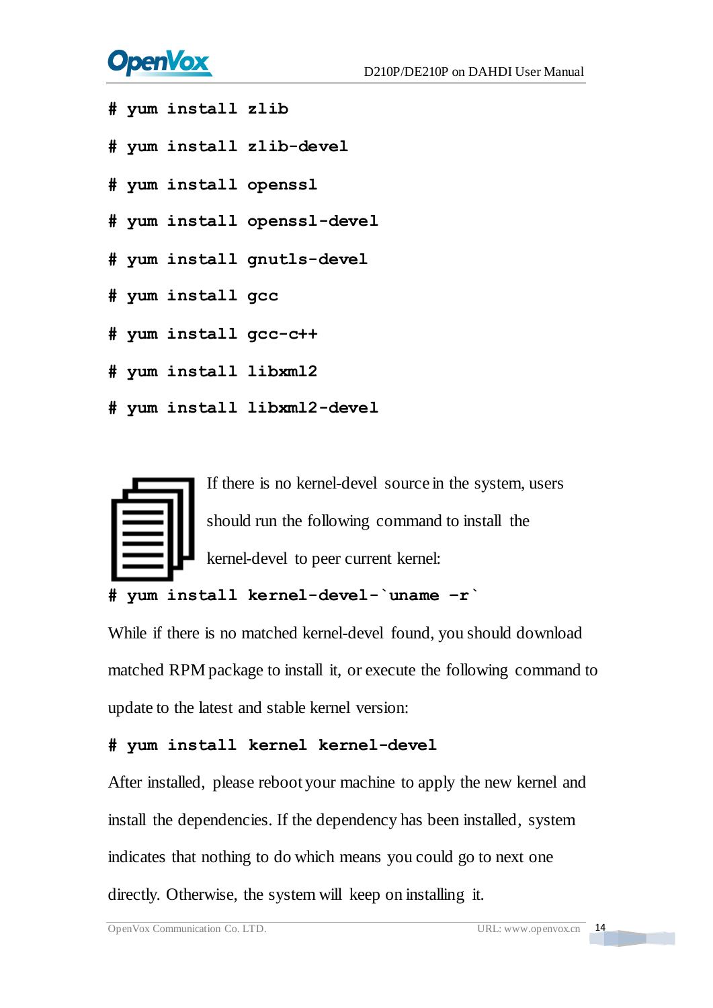# **OpenVox**

- **# yum install zlib**
- **# yum install zlib-devel**
- **# yum install openssl**
- **# yum install openssl-devel**
- **# yum install gnutls-devel**
- **# yum install gcc**
- **# yum install gcc-c++**
- **# yum install libxml2**
- **# yum install libxml2-devel**



```
# yum install kernel-devel-`uname –r`
```
While if there is no matched kernel-devel found, you should download matched RPM package to install it, or execute the following command to update to the latest and stable kernel version:

#### **# yum install kernel kernel-devel**

After installed, please reboot your machine to apply the new kernel and install the dependencies. If the dependency has been installed, system indicates that nothing to do which means you could go to next one directly. Otherwise, the system will keep on installing it.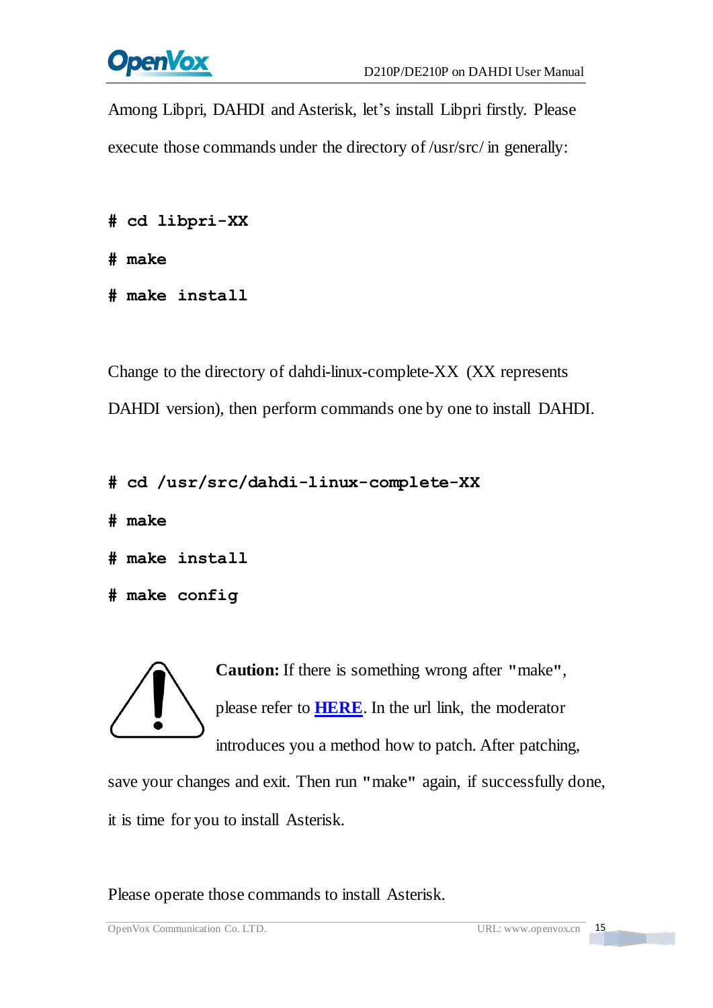

Among Libpri, DAHDI and Asterisk, let's install Libpri firstly. Please execute those commands under the directory of /usr/src/ in generally:

```
# cd libpri-XX
```
**# make**

**# make install**

Change to the directory of dahdi-linux-complete-XX (XX represents DAHDI version), then perform commands one by one to install DAHDI.

```
# cd /usr/src/dahdi-linux-complete-XX
```
**# make**

```
# make install
```

```
# make config
```
**Caution:** If there is something wrong after **"**make**"**, please refer to **[HERE](http://bbs.openvox.cn/viewthread.php?tid=1557&extra=page%3D1)**. In the url link, the moderator introduces you a method how to patch. After patching,

save your changes and exit. Then run **"**make**"** again, if successfully done, it is time for you to install Asterisk.

Please operate those commands to install Asterisk.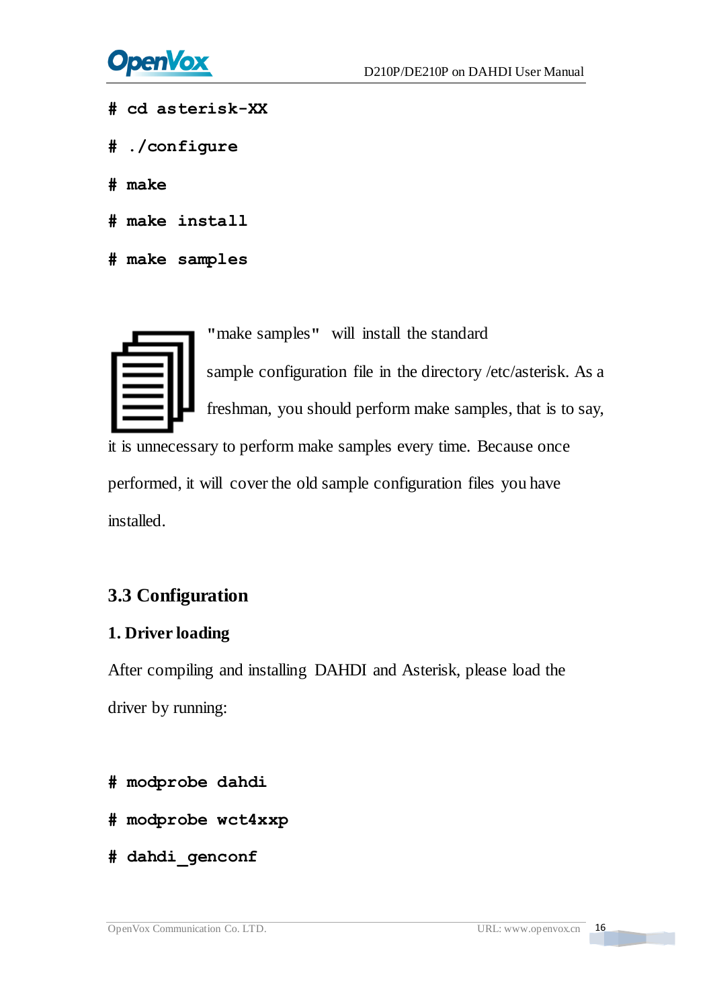

- **# cd asterisk-XX**
- **# ./configure**
- **# make**
- **# make install**
- **# make samples**

**"**make samples**"** will install the standard

sample [configuration](http://www.voip-info.org/wiki/view/Asterisk+config+files) file in the directory /etc/asterisk. As a freshman, you should perform make samples, that is to say,

it is unnecessary to perform make samples every time. Because once performed, it will cover the old sample configuration files you have installed.

## <span id="page-16-0"></span>**3.3 Configuration**

#### **1. Driver loading**

After compiling and installing DAHDI and Asterisk, please load the driver by running:

- **# modprobe dahdi**
- **# modprobe wct4xxp**
- **# dahdi\_genconf**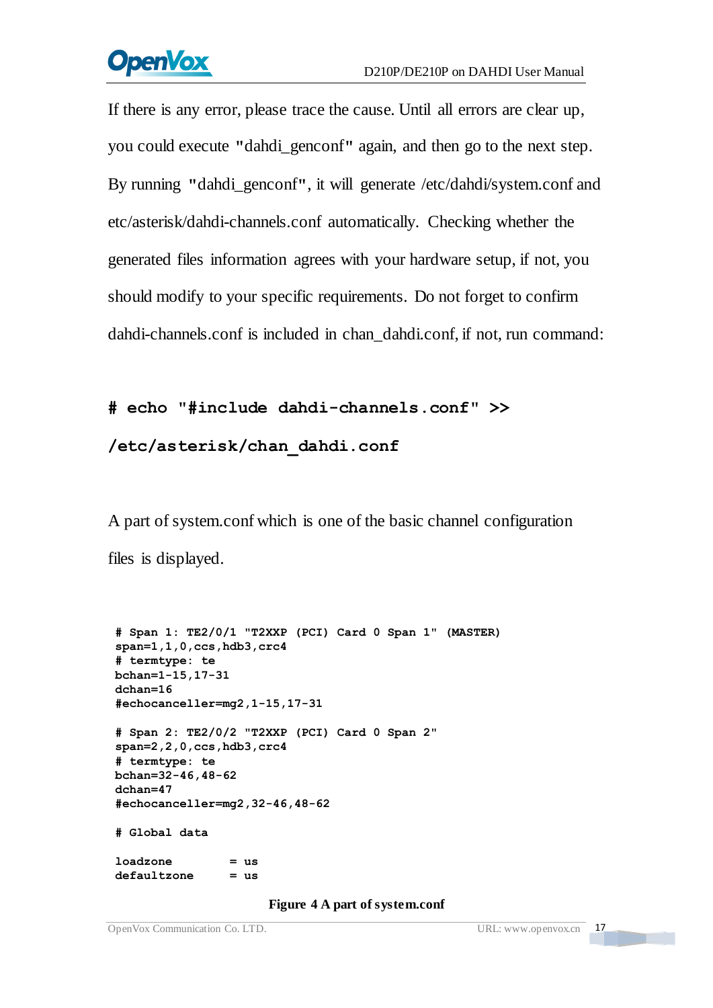# **OpenVox**

If there is any error, please trace the cause. Until all errors are clear up, you could execute **"**dahdi\_genconf**"** again, and then go to the next step. By running **"**dahdi\_genconf**"**, it will generate /etc/dahdi/system.conf and etc/asterisk/dahdi-channels.conf automatically. Checking whether the generated files information agrees with your hardware setup, if not, you should modify to your specific requirements. Do not forget to confirm dahdi-channels.conf is included in chan\_dahdi.conf, if not, run command:

#### **# echo "#include dahdi-channels.conf" >>**

### **/etc/asterisk/chan\_dahdi.conf**

A part of system.conf which is one of the basic channel configuration files is displayed.

```
# Span 1: TE2/0/1 "T2XXP (PCI) Card 0 Span 1" (MASTER) span=1,1,0,ccs,hdb3,crc4 # termtype: te bchan=1-15,17-31 dchan=16 #echocanceller=mg2,1-15,17-31 # Span 2: TE2/0/2 "T2XXP (PCI) Card 0 Span 2" span=2,2,0,ccs,hdb3,crc4 # termtype: te bchan=32-46,48-62 dchan=47 #echocanceller=mg2,32-46,48-62 # Global data loadzone = us defaultzone = us
```
#### **Figure 4 A part of system.conf**

<u> Tanzania de la pro</u>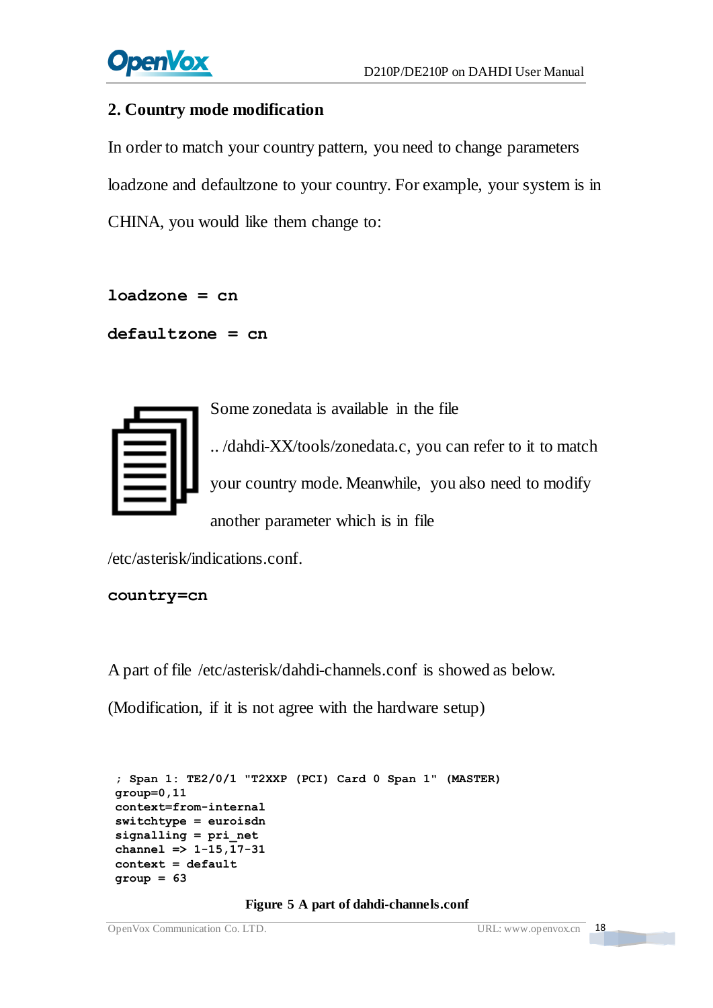

#### **2. Country mode modification**

In order to match your country pattern, you need to change parameters loadzone and defaultzone to your country. For example, your system is in CHINA, you would like them change to:

**loadzone = cn** 

```
defaultzone = cn
```

Some zonedata is available in the file .. /dahdi-XX/tools/zonedata.c, you can refer to it to match your country mode. Meanwhile, you also need to modify another parameter which is in file

/etc/asterisk/indications.conf.

```
country=cn
```
A part of file /etc/asterisk/dahdi-channels.conf is showed as below.

(Modification, if it is not agree with the hardware setup)

```
; Span 1: TE2/0/1 "T2XXP (PCI) Card 0 Span 1" (MASTER)
group=0,11 context=from-internal switchtype = euroisdn signalling = pri_net channel => 1-15,17-31 context = default group = 63
```
#### **Figure 5 A part of dahdi-channels.conf**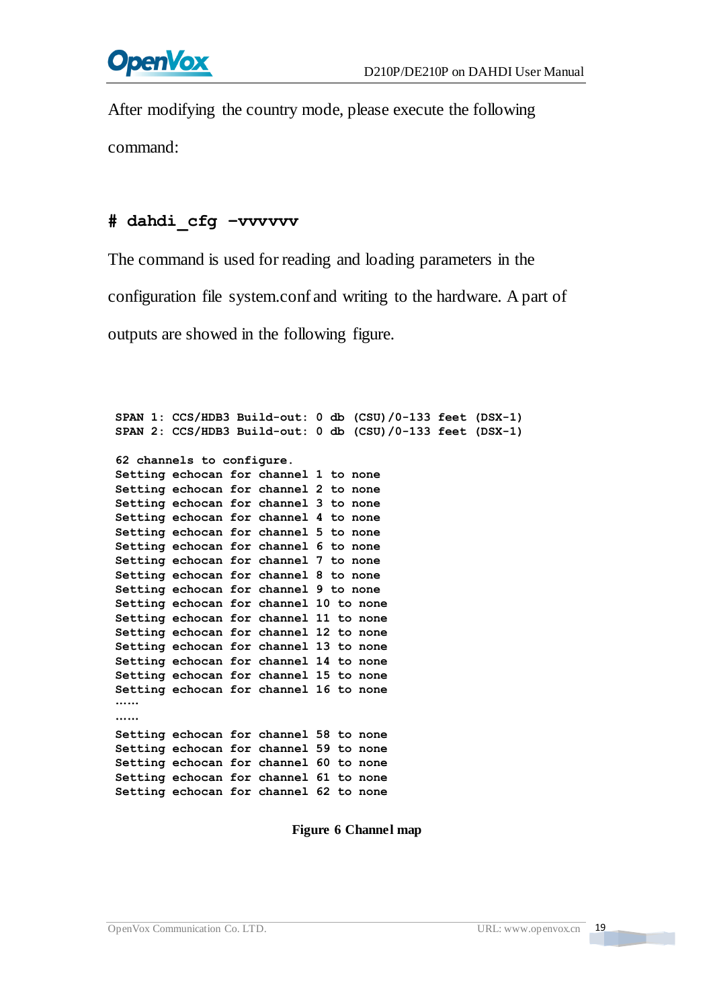After modifying the country mode, please execute the following command:

#### **# dahdi\_cfg –vvvvvv**

The command is used for reading and loading parameters in the configuration file system.conf and writing to the hardware. A part of

outputs are showed in the following figure.

```
SPAN 1: CCS/HDB3 Build-out: 0 db (CSU)/0-133 feet (DSX-1) SPAN 2: CCS/HDB3 Build-out: 0 db (CSU)/0-133 feet (DSX-1) 62 channels to configure. Setting echocan for channel 1 to none Setting echocan for channel 2 to none Setting echocan for channel 3 to none Setting echocan for channel 4 to none Setting echocan for channel 5 to none Setting echocan for channel 6 to none Setting echocan for channel 7 to none Setting echocan for channel 8 to none Setting echocan for channel 9 to none Setting echocan for channel 10 to none Setting echocan for channel 11 to none Setting echocan for channel 12 to none Setting echocan for channel 13 to none Setting echocan for channel 14 to none Setting echocan for channel 15 to none Setting echocan for channel 16 to none .....
.....
Setting echocan for channel 58 to none Setting echocan for channel 59 to none Setting echocan for channel 60 to none Setting echocan for channel 61 to none Setting echocan for channel 62 to none
```
**Figure 6 Channel map**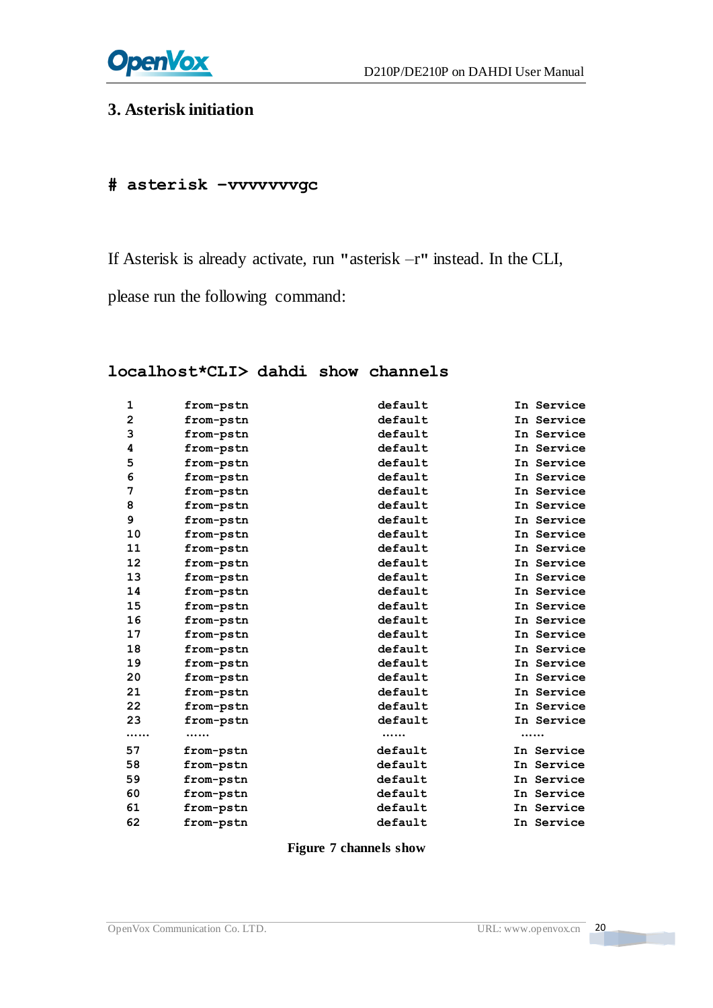

# **3. Asterisk initiation**

#### **# asterisk –vvvvvvvgc**

If Asterisk is already activate, run **"**asterisk –r**"** instead. In the CLI,

please run the following command:

#### **localhost\*CLI> dahdi show channels**

| 1            | from-pstn | default | In Service |
|--------------|-----------|---------|------------|
| $\mathbf{2}$ | from-pstn | default | In Service |
| 3            | from-pstn | default | In Service |
| 4            | from-pstn | default | In Service |
| 5            | from-pstn | default | In Service |
| 6            | from-pstn | default | In Service |
| 7            | from-pstn | default | In Service |
| 8            | from-pstn | default | In Service |
| 9            | from-pstn | default | In Service |
| 10           | from-pstn | default | In Service |
| 11           | from-pstn | default | In Service |
| 12           | from-pstn | default | In Service |
| 13           | from-pstn | default | In Service |
| 14           | from-pstn | default | In Service |
| 15           | from-pstn | default | In Service |
| 16           | from-pstn | default | In Service |
| 17           | from-pstn | default | In Service |
| 18           | from-pstn | default | In Service |
| 19           | from-pstn | default | In Service |
| 20           | from-pstn | default | In Service |
| 21           | from-pstn | default | In Service |
| 22           | from-pstn | default | In Service |
| 23           | from-pstn | default | In Service |
|              |           |         |            |
| 57           | from-pstn | default | In Service |
| 58           | from-pstn | default | In Service |
| 59           | from-pstn | default | In Service |
| 60           | from-pstn | default | In Service |
| 61           | from-pstn | default | In Service |
| 62           | from-pstn | default | In Service |

**Figure 7 channels show**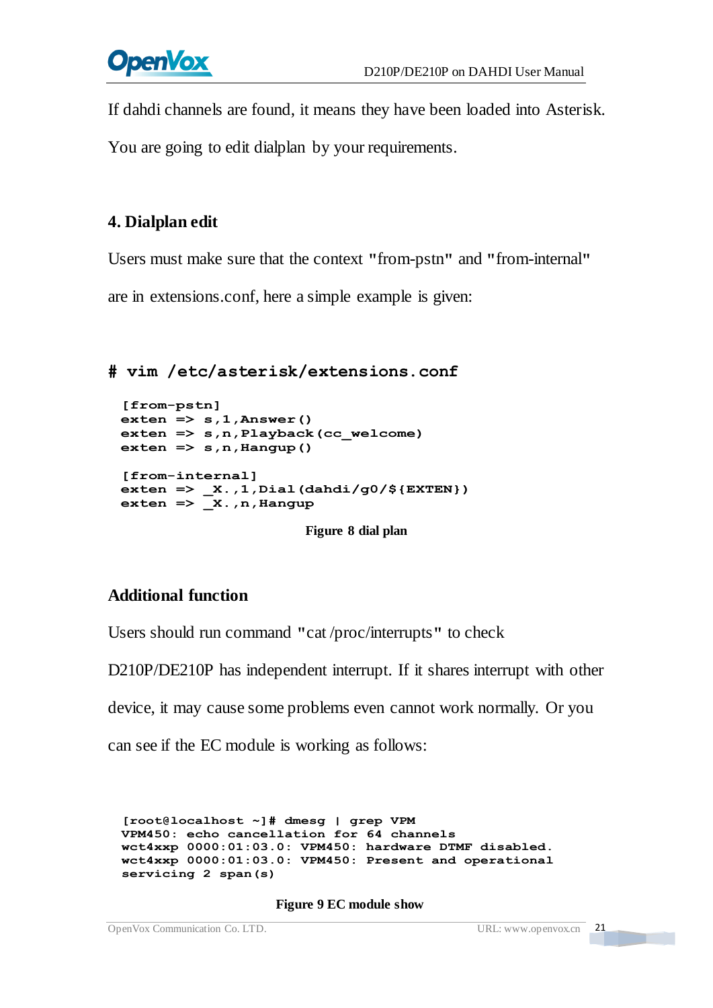If dahdi channels are found, it means they have been loaded into Asterisk.

You are going to edit dialplan by your requirements.

### **4. Dialplan edit**

Users must make sure that the context **"**from-pstn**"** and **"**from-internal**"**

are in extensions.conf, here a simple example is given:

```
# vim /etc/asterisk/extensions.conf
```

```
[from-pstn] exten => s,1,Answer() exten => s,n,Playback(cc_welcome) exten => s,n,Hangup()
[from-internal] exten => _X.,1,Dial(dahdi/g0/${EXTEN}) exten => _X.,n,Hangup
```
**Figure 8 dial plan**

### **Additional function**

Users should run command **"**cat /proc/interrupts**"** to check

D210P/DE210P has independent interrupt. If it shares interrupt with other

device, it may cause some problems even cannot work normally. Or you

can see if the EC module is working as follows:

**[root@localhost ~]# dmesg | grep VPM** VPM450: echo cancellation for 64 channels<br>wct4xxp 0000:01:03.0: VPM450: hardware DTMF disabled.<br>wct4xxp 0000:01:03.0: VPM450: Present and operational **servicing 2 span(s)**

#### **Figure 9 EC module show**

```
OpenVox Communication Co. LTD. URL: www.openvox.cn 21
```
<u> Tarix a shekara ta 1999 </u>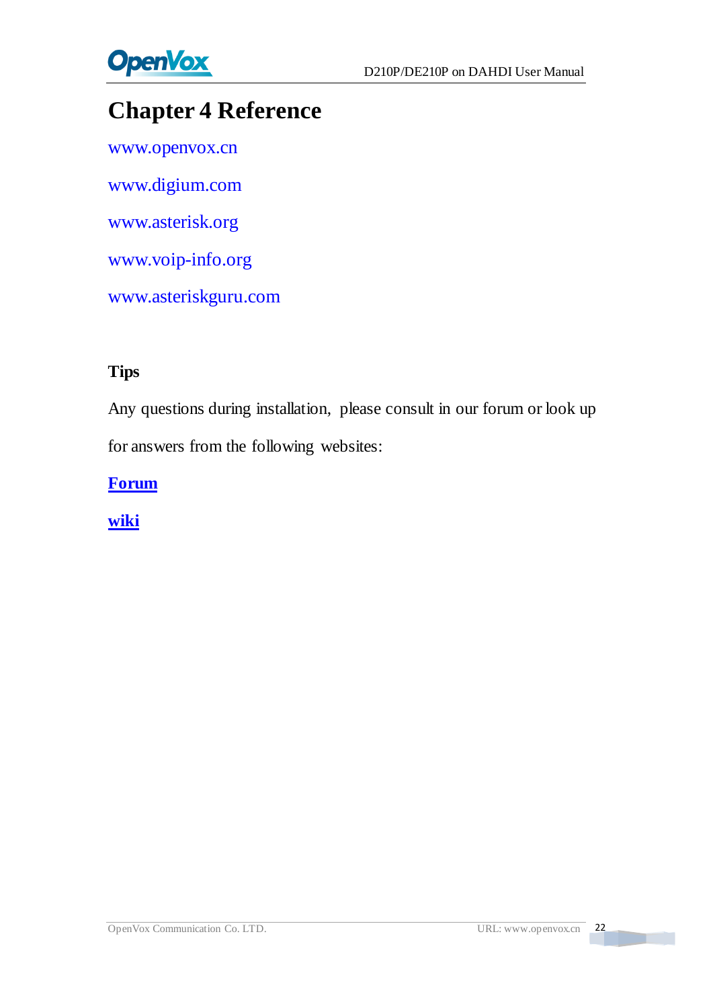

# <span id="page-22-0"></span>**Chapter 4 Reference**

[www.openvox.cn](http://www.openvox.cn/) [www.digium.com](http://www.digium.com/) [www.asterisk.org](http://www.asterisk.org/) [www.voip-info.org](http://www.voip-info.org/) [www.asteriskguru.com](http://www.asteriskguru.com/)

### **Tips**

Any questions during installation, please consult in our forum or look up for answers from the following websites:

**[Forum](http://bbs.openvox.cn/)**

**[wiki](http://wiki.openvox.cn/index.php/%E9%A6%96%E9%A1%B5)**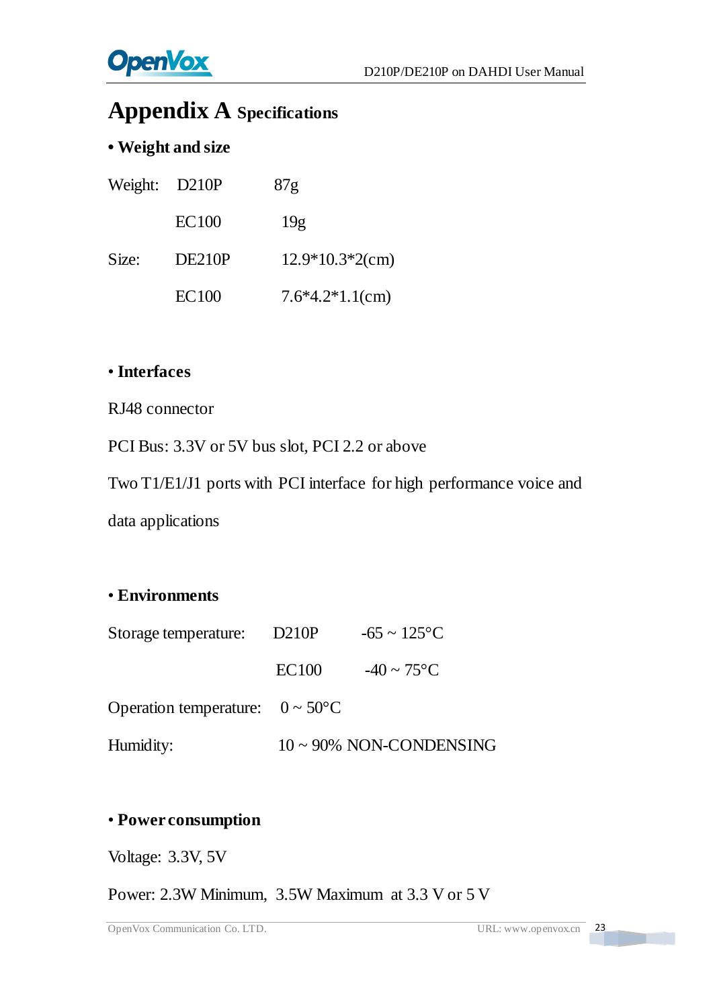# <span id="page-23-0"></span>**Appendix A Specifications**

### **• Weight and size**

| Weight: D210P |              | 87 <sub>g</sub>    |
|---------------|--------------|--------------------|
|               | <b>EC100</b> | 19 <sub>g</sub>    |
| Size:         | DE210P       | $12.9*10.3*2$ (cm) |
|               | <b>EC100</b> | $7.6*4.2*1.1$ (cm) |

#### • **Interfaces**

RJ48 connector

PCI Bus: 3.3V or 5V bus slot, PCI 2.2 or above

Two T1/E1/J1 ports with PCI interface for high performance voice and

data applications

#### • **Environments**

| Storage temperature:                         | D210P        | $-65 \sim 125 \text{ C}$               |
|----------------------------------------------|--------------|----------------------------------------|
|                                              | <b>EC100</b> | $-40 \sim 75 \text{ }^{\circ}\text{C}$ |
| Operation temperature: $0 \sim 50 \text{ C}$ |              |                                        |
| Humidity:                                    |              | $10 \sim 90\%$ NON-CONDENSING          |

#### • **Power consumption**

Voltage: 3.3V, 5V

Power: 2.3W Minimum, 3.5W Maximum at 3.3 V or 5 V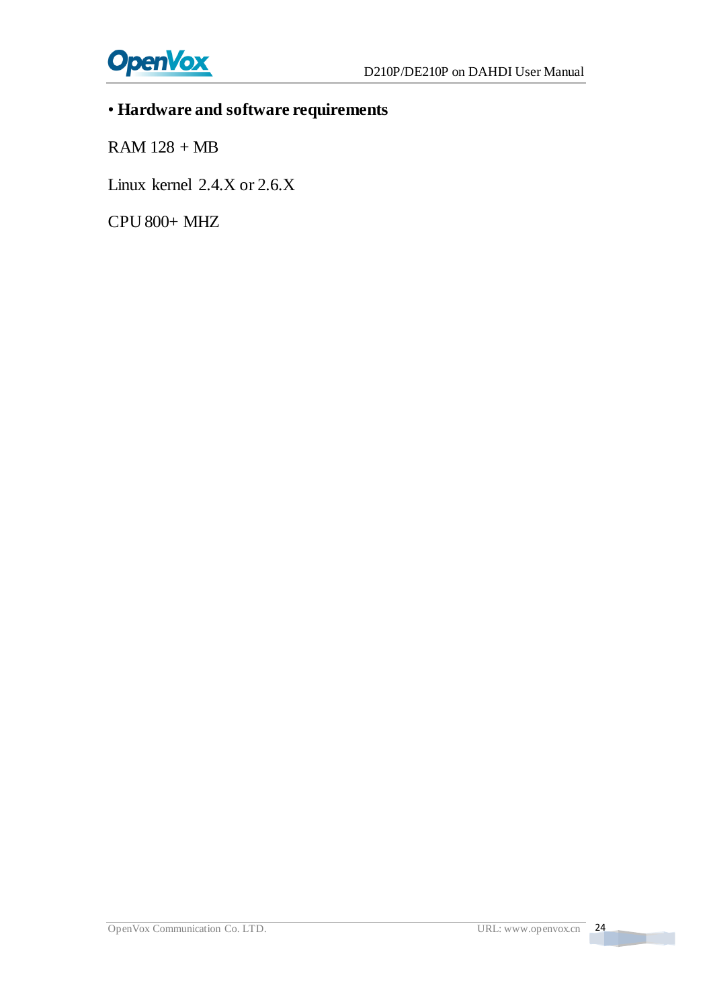

# • **Hardware and software requirements**

RAM 128 + MB

Linux kernel 2.4.X or 2.6.X

CPU 800+ MHZ